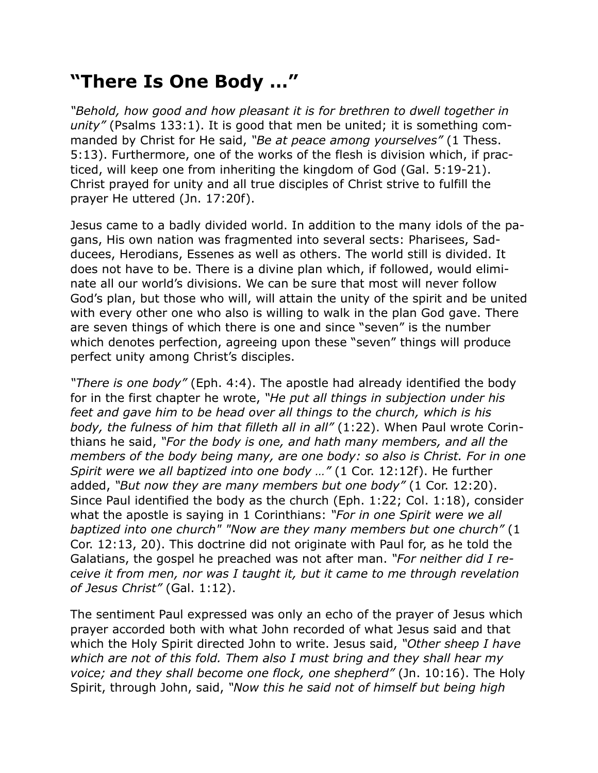## **"There Is One Body …"**

*"Behold, how good and how pleasant it is for brethren to dwell together in unity"* (Psalms 133:1). It is good that men be united; it is something commanded by Christ for He said, *"Be at peace among yourselves"* (1 Thess. 5:13). Furthermore, one of the works of the flesh is division which, if practiced, will keep one from inheriting the kingdom of God (Gal. 5:19-21). Christ prayed for unity and all true disciples of Christ strive to fulfill the prayer He uttered (Jn. 17:20f).

Jesus came to a badly divided world. In addition to the many idols of the pagans, His own nation was fragmented into several sects: Pharisees, Sadducees, Herodians, Essenes as well as others. The world still is divided. It does not have to be. There is a divine plan which, if followed, would eliminate all our world's divisions. We can be sure that most will never follow God's plan, but those who will, will attain the unity of the spirit and be united with every other one who also is willing to walk in the plan God gave. There are seven things of which there is one and since "seven" is the number which denotes perfection, agreeing upon these "seven" things will produce perfect unity among Christ's disciples.

*"There is one body"* (Eph. 4:4). The apostle had already identified the body for in the first chapter he wrote, *"He put all things in subjection under his feet and gave him to be head over all things to the church, which is his body, the fulness of him that filleth all in all"* (1:22). When Paul wrote Corinthians he said, *"For the body is one, and hath many members, and all the members of the body being many, are one body: so also is Christ. For in one Spirit were we all baptized into one body …"* (1 Cor. 12:12f). He further added, *"But now they are many members but one body"* (1 Cor. 12:20). Since Paul identified the body as the church (Eph. 1:22; Col. 1:18), consider what the apostle is saying in 1 Corinthians: *"For in one Spirit were we all baptized into one church" "Now are they many members but one church"* (1 Cor. 12:13, 20). This doctrine did not originate with Paul for, as he told the Galatians, the gospel he preached was not after man. *"For neither did I receive it from men, nor was I taught it, but it came to me through revelation of Jesus Christ"* (Gal. 1:12).

The sentiment Paul expressed was only an echo of the prayer of Jesus which prayer accorded both with what John recorded of what Jesus said and that which the Holy Spirit directed John to write. Jesus said, *"Other sheep I have which are not of this fold. Them also I must bring and they shall hear my voice; and they shall become one flock, one shepherd"* (Jn. 10:16). The Holy Spirit, through John, said, *"Now this he said not of himself but being high*